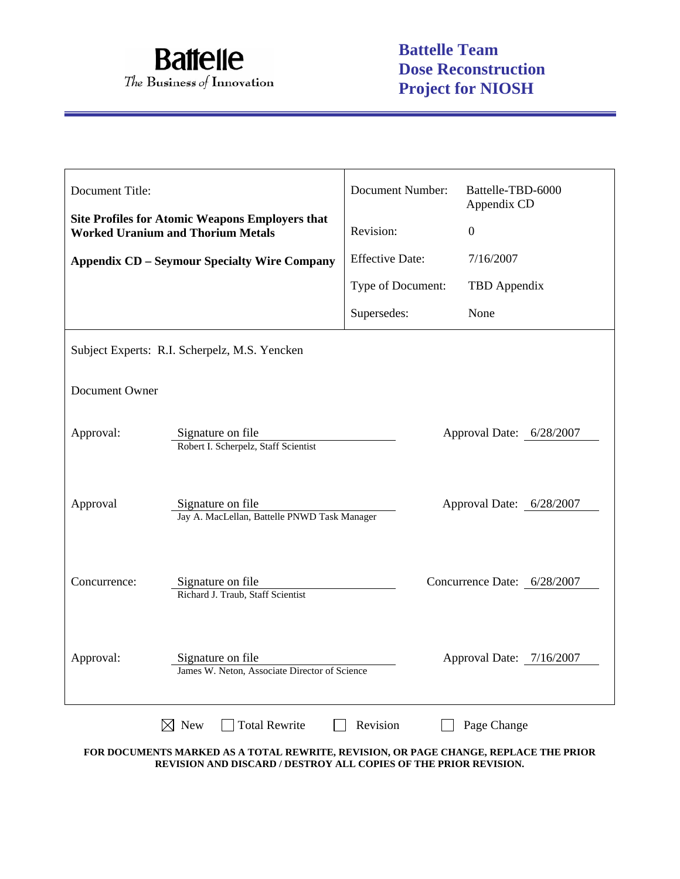

| Document Title:                                     |                                                                                                    | <b>Document Number:</b> | Battelle-TBD-6000<br>Appendix CD |  |
|-----------------------------------------------------|----------------------------------------------------------------------------------------------------|-------------------------|----------------------------------|--|
|                                                     | <b>Site Profiles for Atomic Weapons Employers that</b><br><b>Worked Uranium and Thorium Metals</b> | Revision:               | $\overline{0}$                   |  |
| <b>Appendix CD – Seymour Specialty Wire Company</b> |                                                                                                    | <b>Effective Date:</b>  | 7/16/2007                        |  |
|                                                     |                                                                                                    | Type of Document:       | TBD Appendix                     |  |
|                                                     |                                                                                                    | Supersedes:             | None                             |  |
| Subject Experts: R.I. Scherpelz, M.S. Yencken       |                                                                                                    |                         |                                  |  |
| Document Owner                                      |                                                                                                    |                         |                                  |  |
| Approval:                                           | Signature on file<br>Robert I. Scherpelz, Staff Scientist                                          |                         | Approval Date: 6/28/2007         |  |
| Approval                                            | Signature on file<br>Jay A. MacLellan, Battelle PNWD Task Manager                                  |                         | Approval Date: 6/28/2007         |  |
| Concurrence:                                        | Signature on file<br>Richard J. Traub, Staff Scientist                                             |                         | Concurrence Date: 6/28/2007      |  |
| Approval:                                           | Signature on file<br>James W. Neton, Associate Director of Science                                 |                         | Approval Date: 7/16/2007         |  |
|                                                     | <b>Total Rewrite</b><br>$\boxtimes$ New                                                            | Revision                | Page Change                      |  |

**FOR DOCUMENTS MARKED AS A TOTAL REWRITE, REVISION, OR PAGE CHANGE, REPLACE THE PRIOR REVISION AND DISCARD / DESTROY ALL COPIES OF THE PRIOR REVISION.**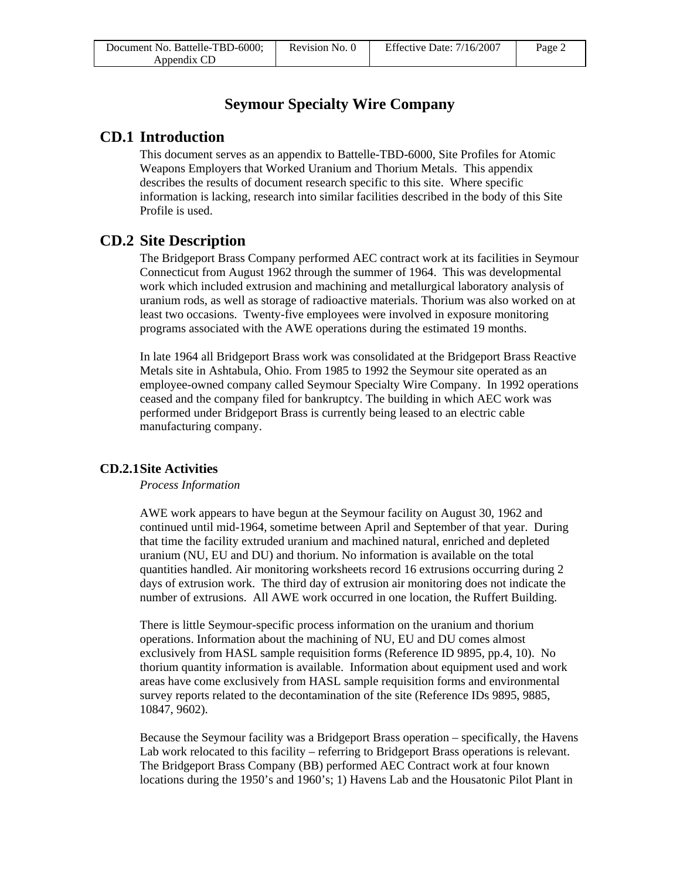### **Seymour Specialty Wire Company**

### **CD.1 Introduction**

This document serves as an appendix to Battelle-TBD-6000, Site Profiles for Atomic Weapons Employers that Worked Uranium and Thorium Metals. This appendix describes the results of document research specific to this site. Where specific information is lacking, research into similar facilities described in the body of this Site Profile is used.

### **CD.2 Site Description**

The Bridgeport Brass Company performed AEC contract work at its facilities in Seymour Connecticut from August 1962 through the summer of 1964. This was developmental work which included extrusion and machining and metallurgical laboratory analysis of uranium rods, as well as storage of radioactive materials. Thorium was also worked on at least two occasions. Twenty-five employees were involved in exposure monitoring programs associated with the AWE operations during the estimated 19 months.

In late 1964 all Bridgeport Brass work was consolidated at the Bridgeport Brass Reactive Metals site in Ashtabula, Ohio. From 1985 to 1992 the Seymour site operated as an employee-owned company called Seymour Specialty Wire Company. In 1992 operations ceased and the company filed for bankruptcy. The building in which AEC work was performed under Bridgeport Brass is currently being leased to an electric cable manufacturing company.

### **CD.2.1 Site Activities**

### *Process Information*

AWE work appears to have begun at the Seymour facility on August 30, 1962 and continued until mid-1964, sometime between April and September of that year. During that time the facility extruded uranium and machined natural, enriched and depleted uranium (NU, EU and DU) and thorium. No information is available on the total quantities handled. Air monitoring worksheets record 16 extrusions occurring during 2 days of extrusion work. The third day of extrusion air monitoring does not indicate the number of extrusions. All AWE work occurred in one location, the Ruffert Building.

There is little Seymour-specific process information on the uranium and thorium operations. Information about the machining of NU, EU and DU comes almost exclusively from HASL sample requisition forms (Reference ID 9895, pp.4, 10). No thorium quantity information is available. Information about equipment used and work areas have come exclusively from HASL sample requisition forms and environmental survey reports related to the decontamination of the site (Reference IDs 9895, 9885, 10847, 9602).

Because the Seymour facility was a Bridgeport Brass operation – specifically, the Havens Lab work relocated to this facility – referring to Bridgeport Brass operations is relevant. The Bridgeport Brass Company (BB) performed AEC Contract work at four known locations during the 1950's and 1960's; 1) Havens Lab and the Housatonic Pilot Plant in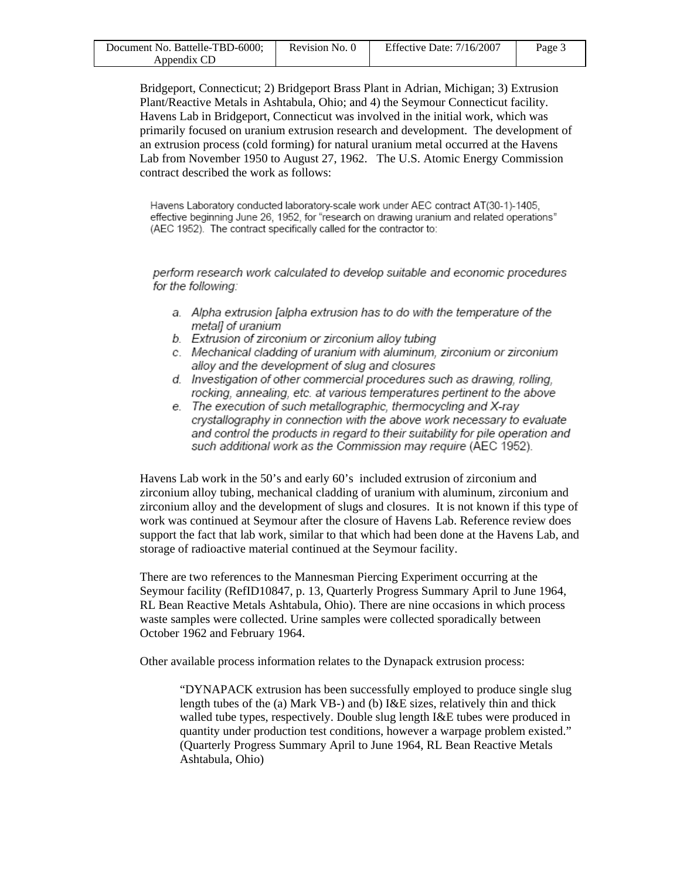| Document No. Battelle-TBD-6000; | Revision No. 0 | Effective Date: $7/16/2007$ | Page 3 |
|---------------------------------|----------------|-----------------------------|--------|
| Appendix CD                     |                |                             |        |

Bridgeport, Connecticut; 2) Bridgeport Brass Plant in Adrian, Michigan; 3) Extrusion Plant/Reactive Metals in Ashtabula, Ohio; and 4) the Seymour Connecticut facility. Havens Lab in Bridgeport, Connecticut was involved in the initial work, which was primarily focused on uranium extrusion research and development. The development of an extrusion process (cold forming) for natural uranium metal occurred at the Havens Lab from November 1950 to August 27, 1962. The U.S. Atomic Energy Commission contract described the work as follows:

Havens Laboratory conducted laboratory-scale work under AEC contract AT(30-1)-1405, effective beginning June 26, 1952, for "research on drawing uranium and related operations" (AEC 1952). The contract specifically called for the contractor to:

perform research work calculated to develop suitable and economic procedures for the following:

- a. Alpha extrusion [alpha extrusion has to do with the temperature of the metall of uranium
- b. Extrusion of zirconium or zirconium alloy tubing
- c. Mechanical cladding of uranium with aluminum, zirconium or zirconium alloy and the development of slug and closures
- d. Investigation of other commercial procedures such as drawing, rolling, rocking, annealing, etc. at various temperatures pertinent to the above
- e. The execution of such metallographic, thermocycling and X-ray crystallography in connection with the above work necessary to evaluate and control the products in regard to their suitability for pile operation and such additional work as the Commission may require (AEC 1952).

Havens Lab work in the 50's and early 60's included extrusion of zirconium and zirconium alloy tubing, mechanical cladding of uranium with aluminum, zirconium and zirconium alloy and the development of slugs and closures. It is not known if this type of work was continued at Seymour after the closure of Havens Lab. Reference review does support the fact that lab work, similar to that which had been done at the Havens Lab, and storage of radioactive material continued at the Seymour facility.

There are two references to the Mannesman Piercing Experiment occurring at the Seymour facility (RefID10847, p. 13, Quarterly Progress Summary April to June 1964, RL Bean Reactive Metals Ashtabula, Ohio). There are nine occasions in which process waste samples were collected. Urine samples were collected sporadically between October 1962 and February 1964.

Other available process information relates to the Dynapack extrusion process:

"DYNAPACK extrusion has been successfully employed to produce single slug length tubes of the (a) Mark VB-) and (b) I&E sizes, relatively thin and thick walled tube types, respectively. Double slug length I&E tubes were produced in quantity under production test conditions, however a warpage problem existed." (Quarterly Progress Summary April to June 1964, RL Bean Reactive Metals Ashtabula, Ohio)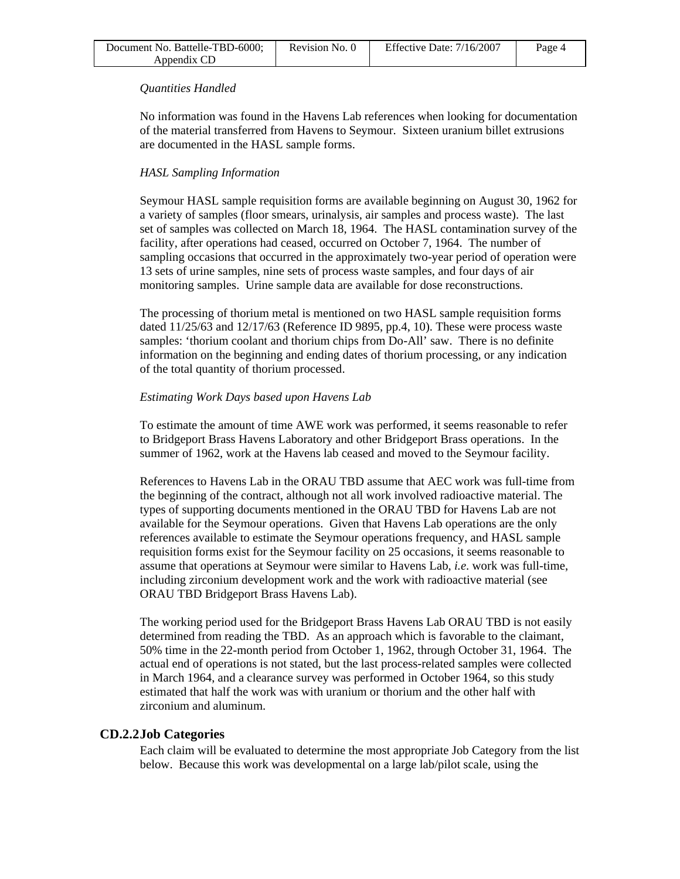| Document No. Battelle-TBD-6000; | Revision No. 0 | Effective Date: $7/16/2007$ | Page 4 |
|---------------------------------|----------------|-----------------------------|--------|
| Appendix CD                     |                |                             |        |

### *Quantities Handled*

No information was found in the Havens Lab references when looking for documentation of the material transferred from Havens to Seymour. Sixteen uranium billet extrusions are documented in the HASL sample forms.

### *HASL Sampling Information*

Seymour HASL sample requisition forms are available beginning on August 30, 1962 for a variety of samples (floor smears, urinalysis, air samples and process waste). The last set of samples was collected on March 18, 1964. The HASL contamination survey of the facility, after operations had ceased, occurred on October 7, 1964. The number of sampling occasions that occurred in the approximately two-year period of operation were 13 sets of urine samples, nine sets of process waste samples, and four days of air monitoring samples. Urine sample data are available for dose reconstructions.

The processing of thorium metal is mentioned on two HASL sample requisition forms dated 11/25/63 and 12/17/63 (Reference ID 9895, pp.4, 10). These were process waste samples: 'thorium coolant and thorium chips from Do-All' saw. There is no definite information on the beginning and ending dates of thorium processing, or any indication of the total quantity of thorium processed.

### *Estimating Work Days based upon Havens Lab*

To estimate the amount of time AWE work was performed, it seems reasonable to refer to Bridgeport Brass Havens Laboratory and other Bridgeport Brass operations. In the summer of 1962, work at the Havens lab ceased and moved to the Seymour facility.

References to Havens Lab in the ORAU TBD assume that AEC work was full-time from the beginning of the contract, although not all work involved radioactive material. The types of supporting documents mentioned in the ORAU TBD for Havens Lab are not available for the Seymour operations. Given that Havens Lab operations are the only references available to estimate the Seymour operations frequency, and HASL sample requisition forms exist for the Seymour facility on 25 occasions, it seems reasonable to assume that operations at Seymour were similar to Havens Lab, *i.e*. work was full-time, including zirconium development work and the work with radioactive material (see ORAU TBD Bridgeport Brass Havens Lab).

The working period used for the Bridgeport Brass Havens Lab ORAU TBD is not easily determined from reading the TBD. As an approach which is favorable to the claimant, 50% time in the 22-month period from October 1, 1962, through October 31, 1964. The actual end of operations is not stated, but the last process-related samples were collected in March 1964, and a clearance survey was performed in October 1964, so this study estimated that half the work was with uranium or thorium and the other half with zirconium and aluminum.

### **CD.2.2 Job Categories**

Each claim will be evaluated to determine the most appropriate Job Category from the list below. Because this work was developmental on a large lab/pilot scale, using the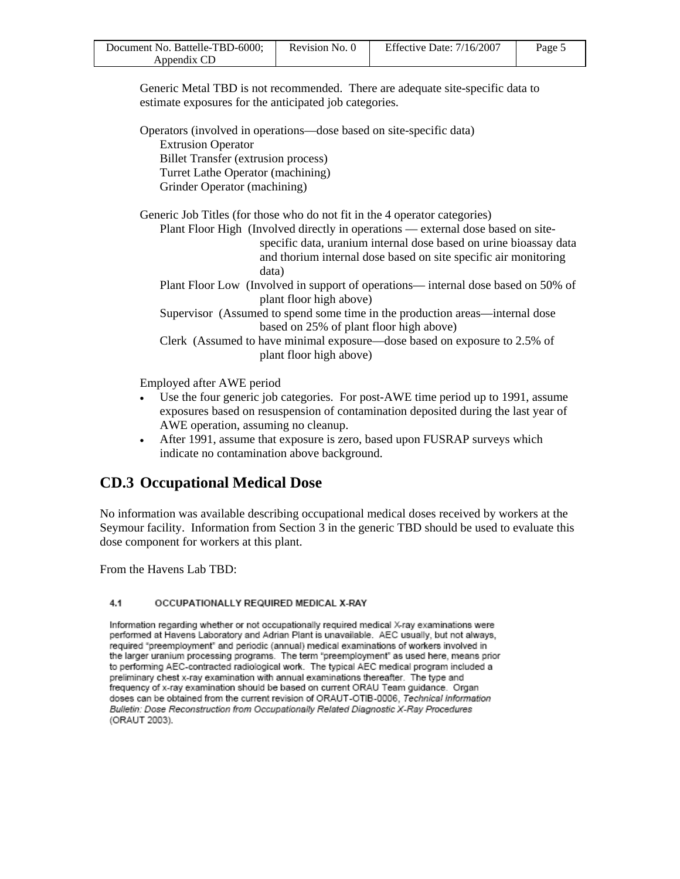| Document No. Battelle-TBD-6000; | Revision No. 0 | Effective Date: 7/16/2007 | Page 5 |
|---------------------------------|----------------|---------------------------|--------|
| Appendix CD                     |                |                           |        |

Generic Metal TBD is not recommended. There are adequate site-specific data to estimate exposures for the anticipated job categories.

Operators (involved in operations—dose based on site-specific data) Extrusion Operator Billet Transfer (extrusion process) Turret Lathe Operator (machining) Grinder Operator (machining)

Generic Job Titles (for those who do not fit in the 4 operator categories)

Plant Floor High (Involved directly in operations — external dose based on sitespecific data, uranium internal dose based on urine bioassay data and thorium internal dose based on site specific air monitoring data)

Plant Floor Low (Involved in support of operations— internal dose based on 50% of plant floor high above)

Supervisor (Assumed to spend some time in the production areas—internal dose based on 25% of plant floor high above)

Clerk (Assumed to have minimal exposure—dose based on exposure to 2.5% of plant floor high above)

Employed after AWE period

- Use the four generic job categories. For post-AWE time period up to 1991, assume exposures based on resuspension of contamination deposited during the last year of AWE operation, assuming no cleanup.
- After 1991, assume that exposure is zero, based upon FUSRAP surveys which indicate no contamination above background.

# **CD.3 Occupational Medical Dose**

No information was available describing occupational medical doses received by workers at the Seymour facility. Information from Section 3 in the generic TBD should be used to evaluate this dose component for workers at this plant.

From the Havens Lab TBD:

#### $4.1$ OCCUPATIONALLY REQUIRED MEDICAL X-RAY

Information regarding whether or not occupationally required medical X-ray examinations were performed at Havens Laboratory and Adrian Plant is unavailable. AEC usually, but not always, required "preemployment" and periodic (annual) medical examinations of workers involved in the larger uranium processing programs. The term "preemployment" as used here, means prior to performing AEC-contracted radiological work. The typical AEC medical program included a preliminary chest x-ray examination with annual examinations thereafter. The type and frequency of x-ray examination should be based on current ORAU Team guidance. Organ doses can be obtained from the current revision of ORAUT-OTIB-0006, Technical Information Bulletin: Dose Reconstruction from Occupationally Related Diagnostic X-Ray Procedures (ORAUT 2003).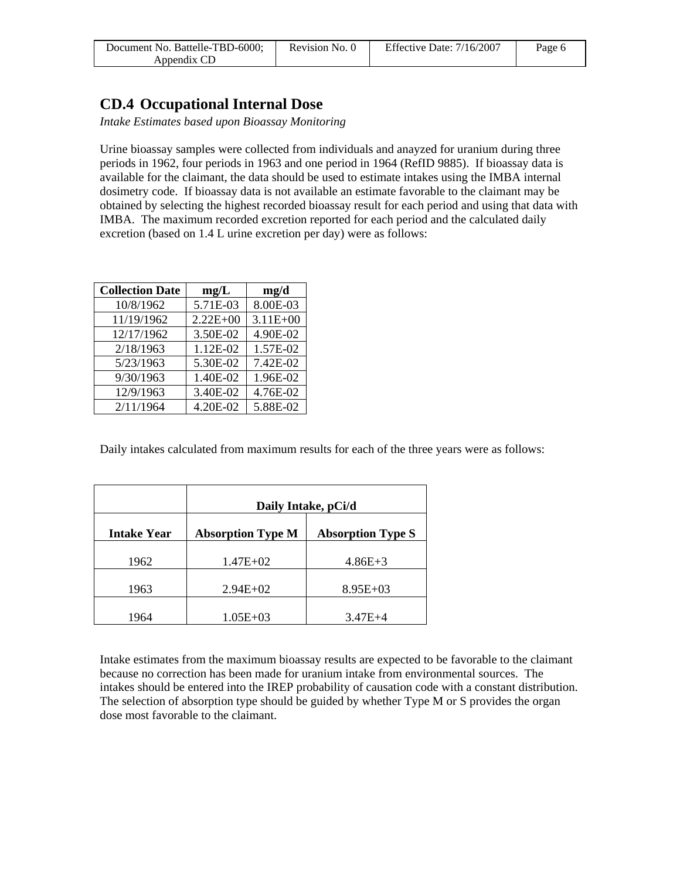| Document No. Battelle-TBD-6000; | Revision No. 0 | Effective Date: $7/16/2007$ | Page 6 |
|---------------------------------|----------------|-----------------------------|--------|
| Appendix CD                     |                |                             |        |

### **CD.4 Occupational Internal Dose**

*Intake Estimates based upon Bioassay Monitoring* 

Urine bioassay samples were collected from individuals and anayzed for uranium during three periods in 1962, four periods in 1963 and one period in 1964 (RefID 9885). If bioassay data is available for the claimant, the data should be used to estimate intakes using the IMBA internal dosimetry code. If bioassay data is not available an estimate favorable to the claimant may be obtained by selecting the highest recorded bioassay result for each period and using that data with IMBA. The maximum recorded excretion reported for each period and the calculated daily excretion (based on 1.4 L urine excretion per day) were as follows:

| <b>Collection Date</b> | mg/L         | mg/d         |
|------------------------|--------------|--------------|
| 10/8/1962              | 5.71E-03     | 8.00E-03     |
| 11/19/1962             | $2.22E + 00$ | $3.11E + 00$ |
| 12/17/1962             | 3.50E-02     | 4.90E-02     |
| 2/18/1963              | 1.12E-02     | 1.57E-02     |
| 5/23/1963              | 5.30E-02     | 7.42E-02     |
| 9/30/1963              | 1.40E-02     | 1.96E-02     |
| 12/9/1963              | 3.40E-02     | 4.76E-02     |
| 2/11/1964              | 4.20E-02     | 5.88E-02     |

Daily intakes calculated from maximum results for each of the three years were as follows:

|                    | Daily Intake, pCi/d      |                          |  |  |
|--------------------|--------------------------|--------------------------|--|--|
| <b>Intake Year</b> | <b>Absorption Type M</b> | <b>Absorption Type S</b> |  |  |
| 1962               | $1.47E + 02$             | $4.86E + 3$              |  |  |
| 1963               | $2.94E+02$               | $8.95E+03$               |  |  |
| 1964               | $1.05E + 03$             | $3.47E + 4$              |  |  |

Intake estimates from the maximum bioassay results are expected to be favorable to the claimant because no correction has been made for uranium intake from environmental sources. The intakes should be entered into the IREP probability of causation code with a constant distribution. The selection of absorption type should be guided by whether Type M or S provides the organ dose most favorable to the claimant.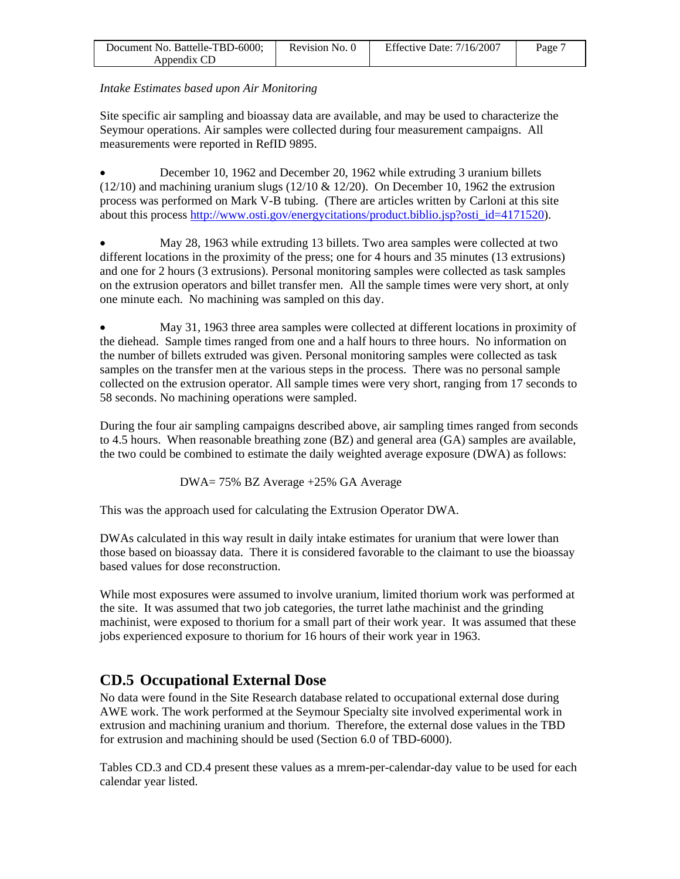| Document No. Battelle-TBD-6000; | Revision No. 0 | Effective Date: $7/16/2007$ | Page 7 |
|---------------------------------|----------------|-----------------------------|--------|
| Appendix CD                     |                |                             |        |

### *Intake Estimates based upon Air Monitoring*

Site specific air sampling and bioassay data are available, and may be used to characterize the Seymour operations. Air samples were collected during four measurement campaigns. All measurements were reported in RefID 9895.

• December 10, 1962 and December 20, 1962 while extruding 3 uranium billets  $(12/10)$  and machining uranium slugs  $(12/10 \& 12/20)$ . On December 10, 1962 the extrusion process was performed on Mark V-B tubing. (There are articles written by Carloni at this site about this process http://www.osti.gov/energycitations/product.biblio.jsp?osti\_id=4171520).

• May 28, 1963 while extruding 13 billets. Two area samples were collected at two different locations in the proximity of the press; one for 4 hours and 35 minutes (13 extrusions) and one for 2 hours (3 extrusions). Personal monitoring samples were collected as task samples on the extrusion operators and billet transfer men. All the sample times were very short, at only one minute each. No machining was sampled on this day.

• May 31, 1963 three area samples were collected at different locations in proximity of the diehead. Sample times ranged from one and a half hours to three hours. No information on the number of billets extruded was given. Personal monitoring samples were collected as task samples on the transfer men at the various steps in the process. There was no personal sample collected on the extrusion operator. All sample times were very short, ranging from 17 seconds to 58 seconds. No machining operations were sampled.

During the four air sampling campaigns described above, air sampling times ranged from seconds to 4.5 hours. When reasonable breathing zone (BZ) and general area (GA) samples are available, the two could be combined to estimate the daily weighted average exposure (DWA) as follows:

DWA= 75% BZ Average +25% GA Average

This was the approach used for calculating the Extrusion Operator DWA.

DWAs calculated in this way result in daily intake estimates for uranium that were lower than those based on bioassay data. There it is considered favorable to the claimant to use the bioassay based values for dose reconstruction.

While most exposures were assumed to involve uranium, limited thorium work was performed at the site. It was assumed that two job categories, the turret lathe machinist and the grinding machinist, were exposed to thorium for a small part of their work year. It was assumed that these jobs experienced exposure to thorium for 16 hours of their work year in 1963.

# **CD.5 Occupational External Dose**

No data were found in the Site Research database related to occupational external dose during AWE work. The work performed at the Seymour Specialty site involved experimental work in extrusion and machining uranium and thorium. Therefore, the external dose values in the TBD for extrusion and machining should be used (Section 6.0 of TBD-6000).

Tables CD.3 and CD.4 present these values as a mrem-per-calendar-day value to be used for each calendar year listed.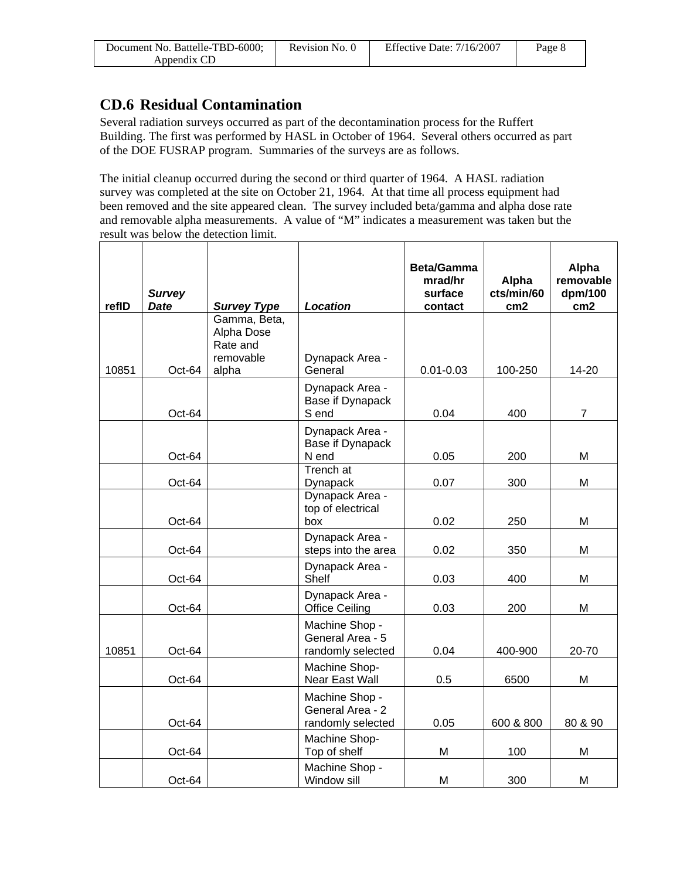| Document No. Battelle-TBD-6000; | Revision No. 0 | Effective Date: $7/16/2007$ | Page 8 |
|---------------------------------|----------------|-----------------------------|--------|
| Appendix CD                     |                |                             |        |

# **CD.6 Residual Contamination**

Several radiation surveys occurred as part of the decontamination process for the Ruffert Building. The first was performed by HASL in October of 1964. Several others occurred as part of the DOE FUSRAP program. Summaries of the surveys are as follows.

The initial cleanup occurred during the second or third quarter of 1964. A HASL radiation survey was completed at the site on October 21, 1964. At that time all process equipment had been removed and the site appeared clean. The survey included beta/gamma and alpha dose rate and removable alpha measurements. A value of "M" indicates a measurement was taken but the result was below the detection limit.

| refID | <b>Survey</b><br><b>Date</b> | <b>Survey Type</b>                                  | Location                                                | <b>Beta/Gamma</b><br>mrad/hr<br>surface<br>contact | Alpha<br>cts/min/60<br>cm <sub>2</sub> | Alpha<br>removable<br>dpm/100<br>cm2 |
|-------|------------------------------|-----------------------------------------------------|---------------------------------------------------------|----------------------------------------------------|----------------------------------------|--------------------------------------|
|       |                              | Gamma, Beta,<br>Alpha Dose<br>Rate and<br>removable | Dynapack Area -                                         |                                                    |                                        |                                      |
| 10851 | Oct-64                       | alpha                                               | General                                                 | $0.01 - 0.03$                                      | 100-250                                | 14-20                                |
|       | Oct-64                       |                                                     | Dynapack Area -<br>Base if Dynapack<br>S end            | 0.04                                               | 400                                    | $\overline{7}$                       |
|       | Oct-64                       |                                                     | Dynapack Area -<br>Base if Dynapack<br>N end            | 0.05                                               | 200                                    | M                                    |
|       | Oct-64                       |                                                     | <b>Trench</b> at<br>Dynapack                            | 0.07                                               | 300                                    | M                                    |
|       | Oct-64                       |                                                     | Dynapack Area -<br>top of electrical<br>box             | 0.02                                               | 250                                    | M                                    |
|       | Oct-64                       |                                                     | Dynapack Area -<br>steps into the area                  | 0.02                                               | 350                                    | M                                    |
|       | Oct-64                       |                                                     | Dynapack Area -<br>Shelf                                | 0.03                                               | 400                                    | M                                    |
|       | Oct-64                       |                                                     | Dynapack Area -<br><b>Office Ceiling</b>                | 0.03                                               | 200                                    | M                                    |
| 10851 | Oct-64                       |                                                     | Machine Shop -<br>General Area - 5<br>randomly selected | 0.04                                               | 400-900                                | 20-70                                |
|       | Oct-64                       |                                                     | Machine Shop-<br>Near East Wall                         | 0.5                                                | 6500                                   | M                                    |
|       | Oct-64                       |                                                     | Machine Shop -<br>General Area - 2<br>randomly selected | 0.05                                               | 600 & 800                              | 80 & 90                              |
|       | Oct-64                       |                                                     | Machine Shop-<br>Top of shelf                           | M                                                  | 100                                    | M                                    |
|       | Oct-64                       |                                                     | Machine Shop -<br>Window sill                           | M                                                  | 300                                    | M                                    |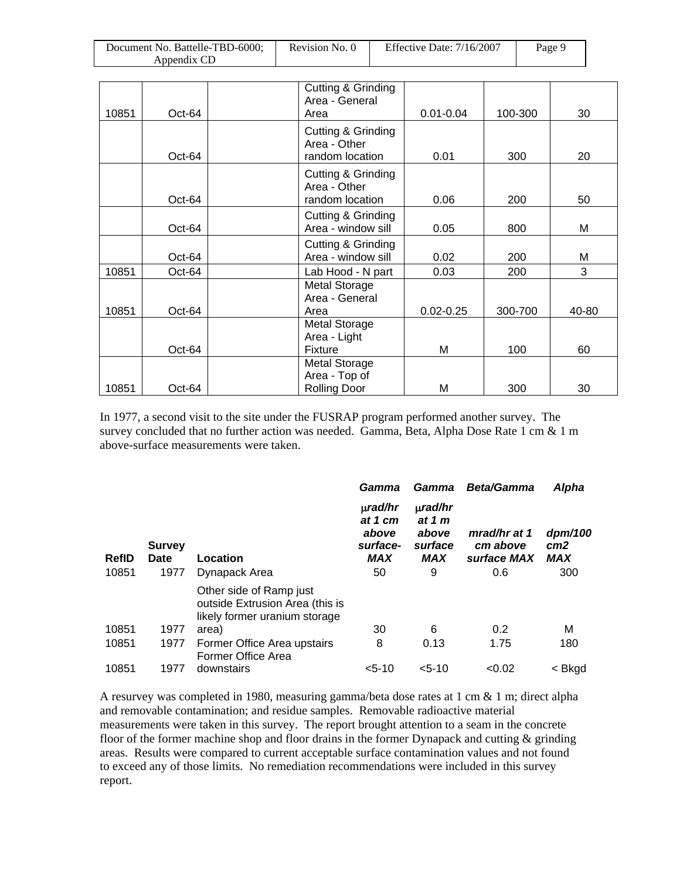| Document No. Battelle-TBD-6000; | Revision No. 0 | Effective Date: $7/16/2007$ | Page 9 |
|---------------------------------|----------------|-----------------------------|--------|
| Appendix CD                     |                |                             |        |

| 10851 | Oct-64   | Cutting & Grinding<br>Area - General<br>Area | $0.01 - 0.04$ | 100-300 | 30    |
|-------|----------|----------------------------------------------|---------------|---------|-------|
|       |          |                                              |               |         |       |
|       |          | Cutting & Grinding<br>Area - Other           |               |         |       |
|       | $Oct-64$ | random location                              | 0.01          | 300     | 20    |
|       |          | Cutting & Grinding<br>Area - Other           |               |         |       |
|       | Oct-64   | random location                              | 0.06          | 200     | 50    |
|       | Oct-64   | Cutting & Grinding<br>Area - window sill     | 0.05          | 800     | М     |
|       |          | Cutting & Grinding                           |               |         |       |
|       | Oct-64   | Area - window sill                           | 0.02          | 200     | Μ     |
| 10851 | Oct-64   | Lab Hood - N part                            | 0.03          | 200     | 3     |
|       |          | Metal Storage                                |               |         |       |
|       |          | Area - General                               |               |         |       |
| 10851 | Oct-64   | Area                                         | $0.02 - 0.25$ | 300-700 | 40-80 |
|       |          | <b>Metal Storage</b>                         |               |         |       |
|       |          | Area - Light                                 |               |         |       |
|       | Oct-64   | <b>Fixture</b>                               | М             | 100     | 60    |
|       |          | <b>Metal Storage</b>                         |               |         |       |
|       |          | Area - Top of                                |               |         |       |
| 10851 | Oct-64   | <b>Rolling Door</b>                          | М             | 300     | 30    |

In 1977, a second visit to the site under the FUSRAP program performed another survey. The survey concluded that no further action was needed. Gamma, Beta, Alpha Dose Rate 1 cm & 1 m above-surface measurements were taken.

|                       |                               |                                                                                             | Gamma                                                            | Gamma                                                           | <b>Beta/Gamma</b>                              | Alpha                                    |
|-----------------------|-------------------------------|---------------------------------------------------------------------------------------------|------------------------------------------------------------------|-----------------------------------------------------------------|------------------------------------------------|------------------------------------------|
| <b>RefID</b><br>10851 | <b>Survey</b><br>Date<br>1977 | Location<br>Dynapack Area                                                                   | $\mu$ rad/hr<br>at 1 cm<br>above<br>surface-<br><b>MAX</b><br>50 | $\mu$ rad/hr<br>at 1 $m$<br>above<br>surface<br><b>MAX</b><br>9 | mrad/hr at 1<br>cm above<br>surface MAX<br>0.6 | dpm/100<br>cm <sub>2</sub><br>MAX<br>300 |
|                       |                               | Other side of Ramp just<br>outside Extrusion Area (this is<br>likely former uranium storage |                                                                  |                                                                 |                                                |                                          |
| 10851                 | 1977                          | area)                                                                                       | 30                                                               | 6                                                               | 0.2                                            | М                                        |
| 10851                 | 1977                          | Former Office Area upstairs<br>Former Office Area                                           | 8                                                                | 0.13                                                            | 1.75                                           | 180                                      |
| 10851                 | 1977                          | downstairs                                                                                  | $5 - 10$                                                         | $< 5 - 10$                                                      | < 0.02                                         | < Bkgd                                   |

A resurvey was completed in 1980, measuring gamma/beta dose rates at 1 cm & 1 m; direct alpha and removable contamination; and residue samples. Removable radioactive material measurements were taken in this survey. The report brought attention to a seam in the concrete floor of the former machine shop and floor drains in the former Dynapack and cutting & grinding areas. Results were compared to current acceptable surface contamination values and not found to exceed any of those limits. No remediation recommendations were included in this survey report.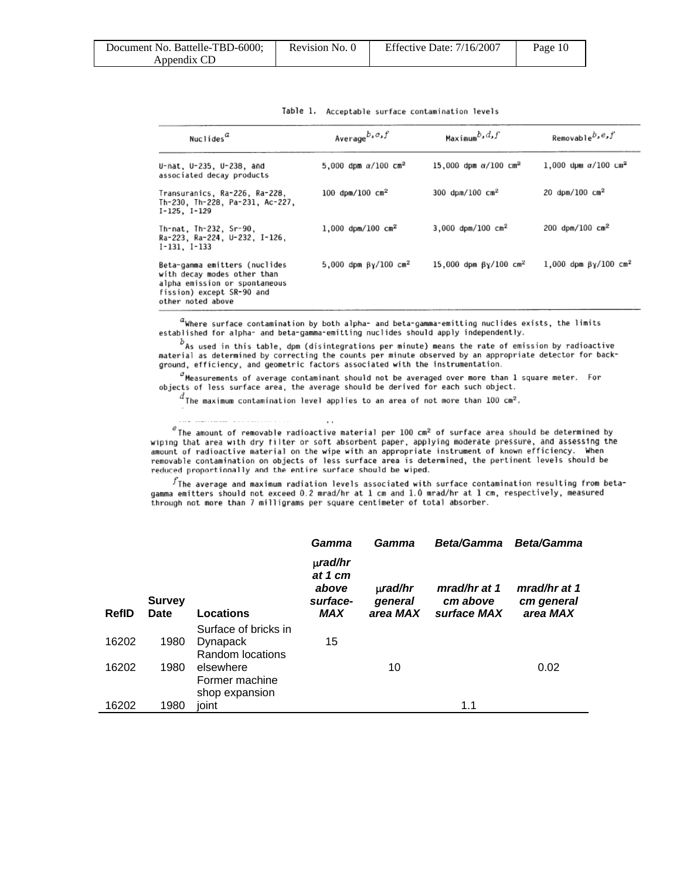| Document No. Battelle-TBD-6000: | Revision No. 0 | Effective Date: 7/16/2007 | Page 10 |
|---------------------------------|----------------|---------------------------|---------|
| Appendix CD                     |                |                           |         |

| Nuclides <sup>"</sup>                                                                                                                           | Average $b$ , $c$ , $f$                 | Maximum $b, d, f$                        | Removable <sup>b,e,f</sup>             |
|-------------------------------------------------------------------------------------------------------------------------------------------------|-----------------------------------------|------------------------------------------|----------------------------------------|
| U-nat, U-235, U-238, and<br>associated decay products                                                                                           | 5,000 dpm $\alpha/100$ cm <sup>2</sup>  | 15,000 dpm $\alpha/100$ cm <sup>2</sup>  | 1,000 dpm $\alpha/100$ cm <sup>2</sup> |
| Transuranics, Ra-226, Ra-228.<br>Th-230. Th-228. Pa-231. Ac-227.<br>$I-125$ , $I-129$                                                           | 100 dpm/100 $cm2$                       | 300 dpm/100 $cm2$                        | 20 dpm/100 $cm2$                       |
| Th-nat, Th-232, Sr-90,<br>Ra-223, Ra-224, U-232, I-126,<br>$I-131$ , $I-133$                                                                    | $1,000$ dpm/100 cm <sup>2</sup>         | $3,000$ dpm/100 cm <sup>2</sup>          | 200 dpm/100 $cm2$                      |
| Beta-gamma emitters (nuclides<br>with decay modes other than<br>alpha emission or spontaneous<br>fission) except SR-90 and<br>other noted above | 5,000 dpm $\beta$ y/100 cm <sup>2</sup> | 15,000 dpm $\beta$ y/100 cm <sup>2</sup> | 1,000 dpm $βγ/100$ cm <sup>2</sup>     |

Table 1. Acceptable surface contamination levels

 $a$ Where surface contamination by both alpha- and beta-gamma-emitting nuclides exists, the limits established for alpha- and beta-gamma-emitting nuclides should apply independently.

 $b$  As used in this table, dpm (disintegrations per minute) means the rate of emission by radioactive material as determined by correcting the counts per minute observed by an appropriate detector for background, efficiency, and geometric factors associated with the instrumentation.

 $^{\circ}$ Measurements of average contaminant should not be averaged over more than 1 square meter. For objects of less surface area, the average should be derived for each such object.

 $^d$ The maximum contamination level applies to an area of not more than 100 cm<sup>2</sup>.

<sup> $e$ </sup>The amount of removable radioactive material per 100 cm<sup>2</sup> of surface area should be determined by wiping that area with dry filter or soft absorbent paper, applying moderate pressure, and assessing the amount of radioactive material on the wipe with an appropriate instrument of known efficiency. When removable contamination on objects of less surface area is determined, the pertinent levels should be reduced proportionally and the entire surface should be wiped.

 $^f$ The average and maximum radiation levels associated with surface contamination resulting from betagamma emitters should not exceed 0.2 mrad/hr at 1 cm and 1.0 mrad/hr at 1 cm, respectively, measured through not more than 7 milligrams per square centimeter of total absorber.

|              |                              |                         | Gamma                                                      | Gamma                               | <b>Beta/Gamma</b>                       | <b>Beta/Gamma</b>                      |
|--------------|------------------------------|-------------------------|------------------------------------------------------------|-------------------------------------|-----------------------------------------|----------------------------------------|
| <b>RefID</b> | <b>Survey</b><br><b>Date</b> | Locations               | $\mu$ rad/hr<br>at 1 cm<br>above<br>surface-<br><b>MAX</b> | $\mu$ rad/hr<br>general<br>area MAX | mrad/hr at 1<br>cm above<br>surface MAX | mrad/hr at 1<br>cm general<br>area MAX |
|              |                              | Surface of bricks in    |                                                            |                                     |                                         |                                        |
| 16202        | 1980                         | Dynapack                | 15                                                         |                                     |                                         |                                        |
|              |                              | <b>Random locations</b> |                                                            |                                     |                                         |                                        |
| 16202        | 1980                         | elsewhere               |                                                            | 10                                  |                                         | 0.02                                   |
|              |                              | Former machine          |                                                            |                                     |                                         |                                        |
|              |                              | shop expansion          |                                                            |                                     |                                         |                                        |
| 16202        | 1980                         | ioint                   |                                                            |                                     | 1.1                                     |                                        |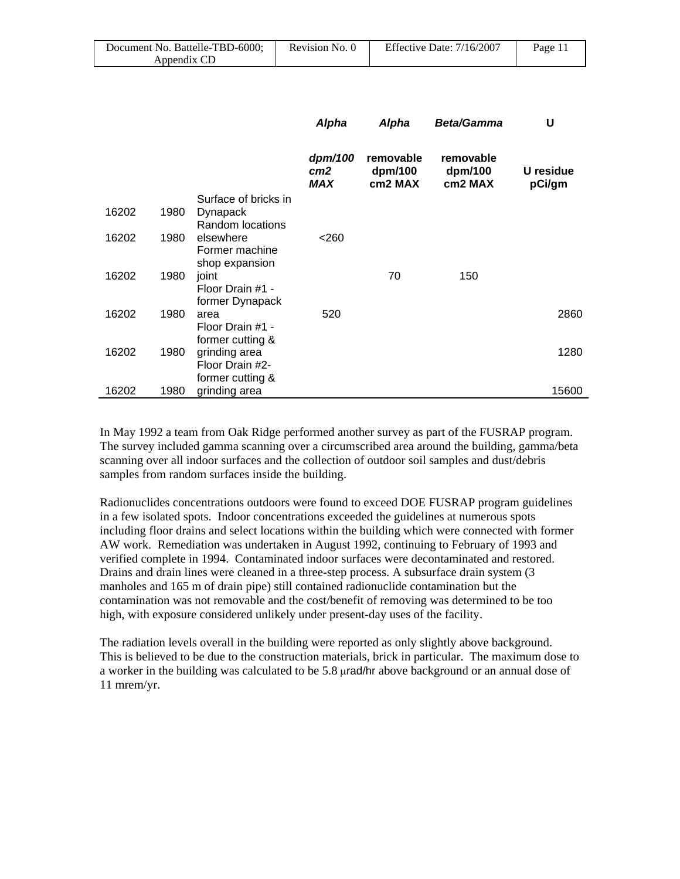| Document No. Battelle-TBD-6000; | Revision No. 0 | Effective Date: $7/16/2007$ | Page $11$ |
|---------------------------------|----------------|-----------------------------|-----------|
| Appendix CD                     |                |                             |           |

|       |      |                                  | Alpha                             | Alpha                           | <b>Beta/Gamma</b>               | U                   |
|-------|------|----------------------------------|-----------------------------------|---------------------------------|---------------------------------|---------------------|
|       |      |                                  | dpm/100<br>cm <sub>2</sub><br>MAX | removable<br>dpm/100<br>cm2 MAX | removable<br>dpm/100<br>cm2 MAX | U residue<br>pCi/gm |
|       |      | Surface of bricks in             |                                   |                                 |                                 |                     |
| 16202 | 1980 | Dynapack<br>Random locations     |                                   |                                 |                                 |                     |
| 16202 | 1980 | elsewhere                        | $<$ 260                           |                                 |                                 |                     |
|       |      | Former machine                   |                                   |                                 |                                 |                     |
|       |      | shop expansion                   |                                   |                                 |                                 |                     |
| 16202 | 1980 | joint                            |                                   | 70                              | 150                             |                     |
|       |      | Floor Drain #1 -                 |                                   |                                 |                                 |                     |
|       |      | former Dynapack                  |                                   |                                 |                                 |                     |
| 16202 | 1980 | area                             | 520                               |                                 |                                 | 2860                |
|       |      | Floor Drain #1 -                 |                                   |                                 |                                 |                     |
|       |      | former cutting &                 |                                   |                                 |                                 | 1280                |
| 16202 | 1980 | grinding area<br>Floor Drain #2- |                                   |                                 |                                 |                     |
|       |      | former cutting &                 |                                   |                                 |                                 |                     |
| 16202 | 1980 | grinding area                    |                                   |                                 |                                 | 15600               |

In May 1992 a team from Oak Ridge performed another survey as part of the FUSRAP program. The survey included gamma scanning over a circumscribed area around the building, gamma/beta scanning over all indoor surfaces and the collection of outdoor soil samples and dust/debris samples from random surfaces inside the building.

Radionuclides concentrations outdoors were found to exceed DOE FUSRAP program guidelines in a few isolated spots. Indoor concentrations exceeded the guidelines at numerous spots including floor drains and select locations within the building which were connected with former AW work. Remediation was undertaken in August 1992, continuing to February of 1993 and verified complete in 1994. Contaminated indoor surfaces were decontaminated and restored. Drains and drain lines were cleaned in a three-step process. A subsurface drain system (3 manholes and 165 m of drain pipe) still contained radionuclide contamination but the contamination was not removable and the cost/benefit of removing was determined to be too high, with exposure considered unlikely under present-day uses of the facility.

The radiation levels overall in the building were reported as only slightly above background. This is believed to be due to the construction materials, brick in particular. The maximum dose to a worker in the building was calculated to be 5.8 μrad/hr above background or an annual dose of 11 mrem/yr.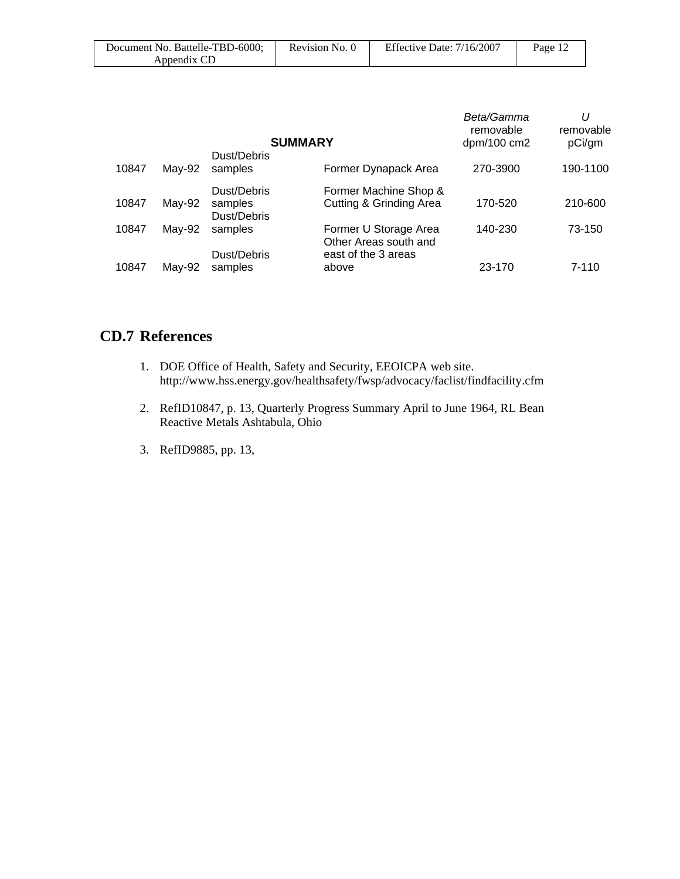| Document No. Battelle-TBD-6000; | Revision No. 0 | Effective Date: $7/16/2007$ | Page 12 |
|---------------------------------|----------------|-----------------------------|---------|
| Appendix CD                     |                |                             |         |

|       |        | <b>SUMMARY</b>                        |                                                             | Beta/Gamma<br>removable<br>dpm/100 cm2 | U<br>removable<br>pCi/gm |
|-------|--------|---------------------------------------|-------------------------------------------------------------|----------------------------------------|--------------------------|
| 10847 | May-92 | Dust/Debris<br>samples                | Former Dynapack Area                                        | 270-3900                               | 190-1100                 |
| 10847 | May-92 | Dust/Debris<br>samples<br>Dust/Debris | Former Machine Shop &<br><b>Cutting &amp; Grinding Area</b> | 170-520                                | 210-600                  |
| 10847 | May-92 | samples                               | Former U Storage Area<br>Other Areas south and              | 140-230                                | 73-150                   |
| 10847 | May-92 | Dust/Debris<br>samples                | east of the 3 areas<br>above                                | 23-170                                 | $7 - 110$                |

# **CD.7 References**

- 1. DOE Office of Health, Safety and Security, EEOICPA web site. http://www.hss.energy.gov/healthsafety/fwsp/advocacy/faclist/findfacility.cfm
- 2. RefID10847, p. 13, Quarterly Progress Summary April to June 1964, RL Bean Reactive Metals Ashtabula, Ohio
- 3. RefID9885, pp. 13,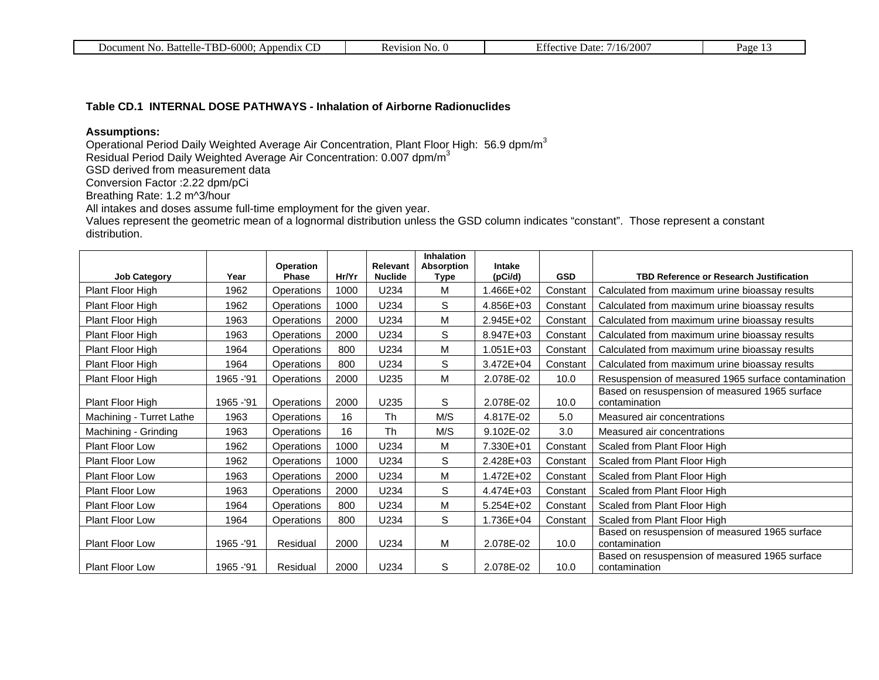| ے م<br>$\sim$ $\sim$<br>Battelle B<br>. .<br>Appendix<br>Document<br>N0<br>$\cdots$ )-60 $\cdots$<br>www.<br>◡ | evision!<br>N <sub>O</sub><br>n c | /2001<br>⊃ate′<br>$H^*$<br>.<br>$\sim$ | Page<br>. . |
|----------------------------------------------------------------------------------------------------------------|-----------------------------------|----------------------------------------|-------------|

#### **Table CD.1 INTERNAL DOSE PATHWAYS - Inhalation of Airborne Radionuclides**

### **Assumptions:**

Operational Period Daily Weighted Average Air Concentration, Plant Floor High: 56.9 dpm/m<sup>3</sup>

Residual Period Daily Weighted Average Air Concentration: 0.007 dpm/m<sup>3</sup>

GSD derived from measurement data

Conversion Factor :2.22 dpm/pCi

Breathing Rate: 1.2 m^3/hour

All intakes and doses assume full-time employment for the given year.

Values represent the geometric mean of a lognormal distribution unless the GSD column indicates "constant". Those represent a constant distribution.

|                          |            | Operation         |       | <b>Relevant</b> | Inhalation<br><b>Absorption</b> | Intake    |            |                                                                 |
|--------------------------|------------|-------------------|-------|-----------------|---------------------------------|-----------|------------|-----------------------------------------------------------------|
| <b>Job Category</b>      | Year       | <b>Phase</b>      | Hr/Yr | <b>Nuclide</b>  | Type                            | (pCi/d)   | <b>GSD</b> | <b>TBD Reference or Research Justification</b>                  |
| Plant Floor High         | 1962       | Operations        | 1000  | U234            | M                               | 1.466E+02 | Constant   | Calculated from maximum urine bioassay results                  |
| Plant Floor High         | 1962       | Operations        | 1000  | U234            | S                               | 4.856E+03 | Constant   | Calculated from maximum urine bioassay results                  |
| Plant Floor High         | 1963       | Operations        | 2000  | U234            | M                               | 2.945E+02 | Constant   | Calculated from maximum urine bioassay results                  |
| Plant Floor High         | 1963       | Operations        | 2000  | U234            | S                               | 8.947E+03 | Constant   | Calculated from maximum urine bioassay results                  |
| Plant Floor High         | 1964       | Operations        | 800   | U234            | M                               | 1.051E+03 | Constant   | Calculated from maximum urine bioassay results                  |
| Plant Floor High         | 1964       | Operations        | 800   | U234            | S                               | 3.472E+04 | Constant   | Calculated from maximum urine bioassay results                  |
| Plant Floor High         | 1965 - '91 | Operations        | 2000  | U235            | M                               | 2.078E-02 | 10.0       | Resuspension of measured 1965 surface contamination             |
| Plant Floor High         | 1965 - '91 | Operations        | 2000  | U235            | S                               | 2.078E-02 | 10.0       | Based on resuspension of measured 1965 surface<br>contamination |
| Machining - Turret Lathe | 1963       | <b>Operations</b> | 16    | <b>Th</b>       | M/S                             | 4.817E-02 | 5.0        | Measured air concentrations                                     |
| Machining - Grinding     | 1963       | <b>Operations</b> | 16    | <b>Th</b>       | M/S                             | 9.102E-02 | 3.0        | Measured air concentrations                                     |
| <b>Plant Floor Low</b>   | 1962       | <b>Operations</b> | 1000  | U234            | М                               | 7.330E+01 | Constant   | Scaled from Plant Floor High                                    |
| Plant Floor Low          | 1962       | Operations        | 1000  | U234            | S                               | 2.428E+03 | Constant   | Scaled from Plant Floor High                                    |
| Plant Floor Low          | 1963       | <b>Operations</b> | 2000  | U234            | M                               | 1.472E+02 | Constant   | Scaled from Plant Floor High                                    |
| Plant Floor Low          | 1963       | Operations        | 2000  | U234            | S                               | 4.474E+03 | Constant   | Scaled from Plant Floor High                                    |
| <b>Plant Floor Low</b>   | 1964       | Operations        | 800   | U234            | M                               | 5.254E+02 | Constant   | Scaled from Plant Floor High                                    |
| <b>Plant Floor Low</b>   | 1964       | Operations        | 800   | U234            | S                               | 1.736E+04 | Constant   | Scaled from Plant Floor High                                    |
| Plant Floor Low          | 1965 - '91 | Residual          | 2000  | U234            | М                               | 2.078E-02 | 10.0       | Based on resuspension of measured 1965 surface<br>contamination |
| <b>Plant Floor Low</b>   | 1965 - '91 | Residual          | 2000  | U234            | S                               | 2.078E-02 | 10.0       | Based on resuspension of measured 1965 surface<br>contamination |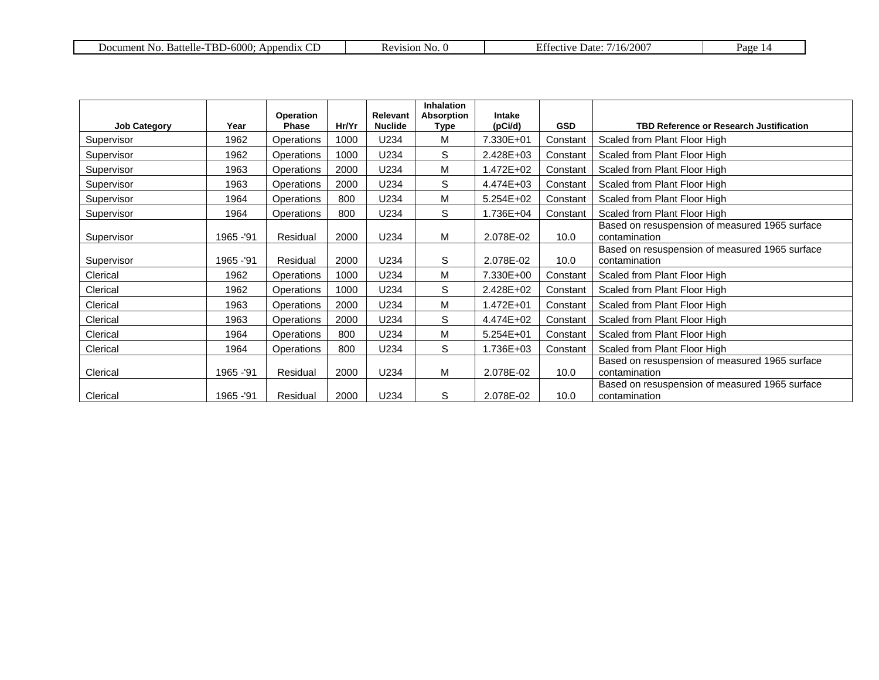| $-6000:$<br><b>TDD</b><br>Battelle-<br>∵ No<br>Document<br>Annendix<br>BD- | N | $\mathbf{a}$<br>2007<br>Jafe<br>$\alpha$ of 137.<br>16/ | age |
|----------------------------------------------------------------------------|---|---------------------------------------------------------|-----|
|----------------------------------------------------------------------------|---|---------------------------------------------------------|-----|

| <b>Job Category</b> | Year       | <b>Operation</b><br><b>Phase</b> | Hr/Yr | <b>Relevant</b><br><b>Nuclide</b> | <b>Inhalation</b><br>Absorption<br>Type | Intake<br>(pCi/d) | <b>GSD</b> | <b>TBD Reference or Research Justification</b>                  |
|---------------------|------------|----------------------------------|-------|-----------------------------------|-----------------------------------------|-------------------|------------|-----------------------------------------------------------------|
| Supervisor          | 1962       | Operations                       | 1000  | U234                              | M                                       | 7.330E+01         | Constant   | Scaled from Plant Floor High                                    |
| Supervisor          | 1962       | Operations                       | 1000  | U234                              | S                                       | 2.428E+03         | Constant   | Scaled from Plant Floor High                                    |
| Supervisor          | 1963       | Operations                       | 2000  | U234                              | M                                       | 1.472E+02         | Constant   | Scaled from Plant Floor High                                    |
| Supervisor          | 1963       | Operations                       | 2000  | U234                              | S                                       | 4.474E+03         | Constant   | Scaled from Plant Floor High                                    |
| Supervisor          | 1964       | Operations                       | 800   | U234                              | M                                       | 5.254E+02         | Constant   | Scaled from Plant Floor High                                    |
| Supervisor          | 1964       | Operations                       | 800   | U234                              | S                                       | 1.736E+04         | Constant   | Scaled from Plant Floor High                                    |
| Supervisor          | 1965 - '91 | Residual                         | 2000  | U234                              | M                                       | 2.078E-02         | 10.0       | Based on resuspension of measured 1965 surface<br>contamination |
| Supervisor          | 1965 - '91 | Residual                         | 2000  | U234                              | S                                       | 2.078E-02         | 10.0       | Based on resuspension of measured 1965 surface<br>contamination |
| Clerical            | 1962       | Operations                       | 1000  | U234                              | M                                       | 7.330E+00         | Constant   | Scaled from Plant Floor High                                    |
| Clerical            | 1962       | Operations                       | 1000  | U234                              | S                                       | 2.428E+02         | Constant   | Scaled from Plant Floor High                                    |
| Clerical            | 1963       | Operations                       | 2000  | U234                              | M                                       | 1.472E+01         | Constant   | Scaled from Plant Floor High                                    |
| Clerical            | 1963       | Operations                       | 2000  | U234                              | S                                       | 4.474E+02         | Constant   | Scaled from Plant Floor High                                    |
| Clerical            | 1964       | Operations                       | 800   | U234                              | M                                       | 5.254E+01         | Constant   | Scaled from Plant Floor High                                    |
| Clerical            | 1964       | Operations                       | 800   | U234                              | S                                       | 1.736E+03         | Constant   | Scaled from Plant Floor High                                    |
| Clerical            | 1965 - '91 | Residual                         | 2000  | U234                              | M                                       | 2.078E-02         | 10.0       | Based on resuspension of measured 1965 surface<br>contamination |
| Clerical            | 1965 - '91 | Residual                         | 2000  | U234                              | S                                       | 2.078E-02         | 10.0       | Based on resuspension of measured 1965 surface<br>contamination |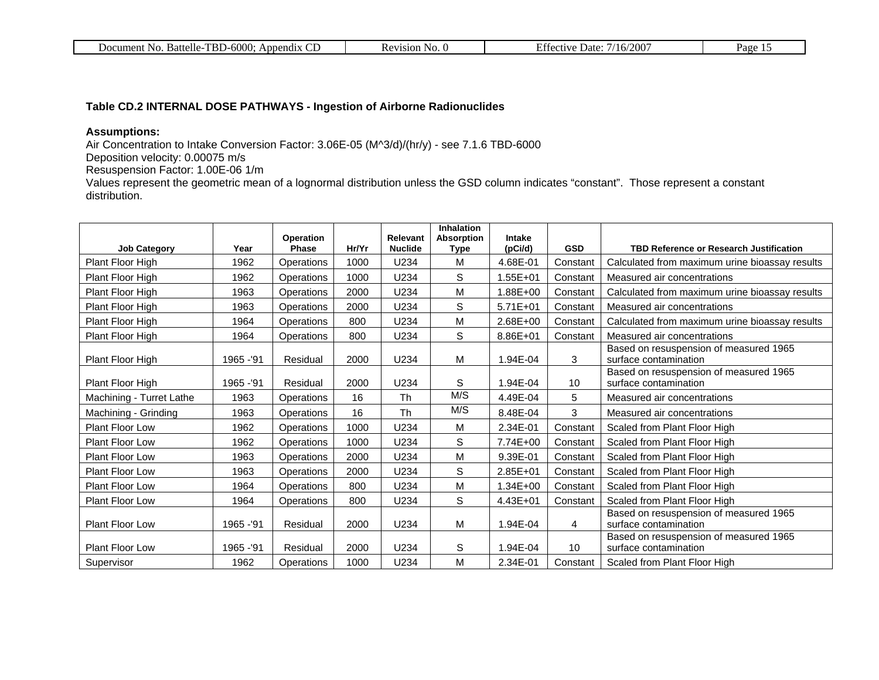| -<br><b>DP</b><br>ഹല<br>~<br><b>Battelle</b><br><b>Prendix</b><br>$\mathbf{v}$<br>. .<br>.<br>``<br>.<br>. | $\mathbf{v}$<br>310 n<br>.<br>`` | $\sim$<br>. Jate-<br>----<br>$\sim$<br>. . | Page |
|------------------------------------------------------------------------------------------------------------|----------------------------------|--------------------------------------------|------|

### **Table CD.2 INTERNAL DOSE PATHWAYS - Ingestion of Airborne Radionuclides**

### **Assumptions:**

Air Concentration to Intake Conversion Factor: 3.06E-05 (M^3/d)/(hr/y) - see 7.1.6 TBD-6000

Deposition velocity: 0.00075 m/s

Resuspension Factor: 1.00E-06 1/m

Values represent the geometric mean of a lognormal distribution unless the GSD column indicates "constant". Those represent a constant distribution.

|                          |            |                           |       | <b>Relevant</b> | <b>Inhalation</b><br><b>Absorption</b> | Intake       |                 |                                                                 |
|--------------------------|------------|---------------------------|-------|-----------------|----------------------------------------|--------------|-----------------|-----------------------------------------------------------------|
| <b>Job Category</b>      | Year       | Operation<br><b>Phase</b> | Hr/Yr | <b>Nuclide</b>  | <b>Type</b>                            | (pCi/d)      | <b>GSD</b>      | <b>TBD Reference or Research Justification</b>                  |
| Plant Floor High         | 1962       | Operations                | 1000  | U234            | M                                      | 4.68E-01     | Constant        | Calculated from maximum urine bioassay results                  |
| Plant Floor High         | 1962       | <b>Operations</b>         | 1000  | U234            | S                                      | $1.55E + 01$ | Constant        | Measured air concentrations                                     |
| Plant Floor High         | 1963       | Operations                | 2000  | U234            | M                                      | 1.88E+00     | Constant        | Calculated from maximum urine bioassay results                  |
| Plant Floor High         | 1963       | Operations                | 2000  | U234            | $\mathsf{S}$                           | $5.71E + 01$ | Constant        | Measured air concentrations                                     |
| Plant Floor High         | 1964       | Operations                | 800   | U234            | M                                      | 2.68E+00     | Constant        | Calculated from maximum urine bioassay results                  |
| Plant Floor High         | 1964       | Operations                | 800   | U234            | $\mathsf{S}$                           | 8.86E+01     | Constant        | Measured air concentrations                                     |
| Plant Floor High         | 1965 - '91 | Residual                  | 2000  | U234            | M                                      | 1.94E-04     | 3               | Based on resuspension of measured 1965<br>surface contamination |
| Plant Floor High         | 1965 - '91 | Residual                  | 2000  | U234            | S                                      | 1.94E-04     | 10              | Based on resuspension of measured 1965<br>surface contamination |
| Machining - Turret Lathe | 1963       | Operations                | 16    | Th              | M/S                                    | 4.49E-04     | 5               | Measured air concentrations                                     |
| Machining - Grinding     | 1963       | Operations                | 16    | Th              | M/S                                    | 8.48E-04     | 3               | Measured air concentrations                                     |
| <b>Plant Floor Low</b>   | 1962       | Operations                | 1000  | U234            | M                                      | 2.34E-01     | Constant        | Scaled from Plant Floor High                                    |
| <b>Plant Floor Low</b>   | 1962       | Operations                | 1000  | U234            | S                                      | 7.74E+00     | Constant        | Scaled from Plant Floor High                                    |
| <b>Plant Floor Low</b>   | 1963       | Operations                | 2000  | U234            | M                                      | 9.39E-01     | Constant        | Scaled from Plant Floor High                                    |
| <b>Plant Floor Low</b>   | 1963       | <b>Operations</b>         | 2000  | U234            | S                                      | 2.85E+01     | Constant        | Scaled from Plant Floor High                                    |
| Plant Floor Low          | 1964       | <b>Operations</b>         | 800   | U234            | M                                      | 1.34E+00     | Constant        | Scaled from Plant Floor High                                    |
| Plant Floor Low          | 1964       | Operations                | 800   | U234            | S                                      | 4.43E+01     | Constant        | Scaled from Plant Floor High                                    |
| <b>Plant Floor Low</b>   | 1965 - '91 | Residual                  | 2000  | U234            | M                                      | 1.94E-04     | 4               | Based on resuspension of measured 1965<br>surface contamination |
| <b>Plant Floor Low</b>   | 1965 - '91 | Residual                  | 2000  | U234            | $\mathsf S$                            | 1.94E-04     | 10 <sup>°</sup> | Based on resuspension of measured 1965<br>surface contamination |
| Supervisor               | 1962       | Operations                | 1000  | U234            | M                                      | 2.34E-01     | Constant        | Scaled from Plant Floor High                                    |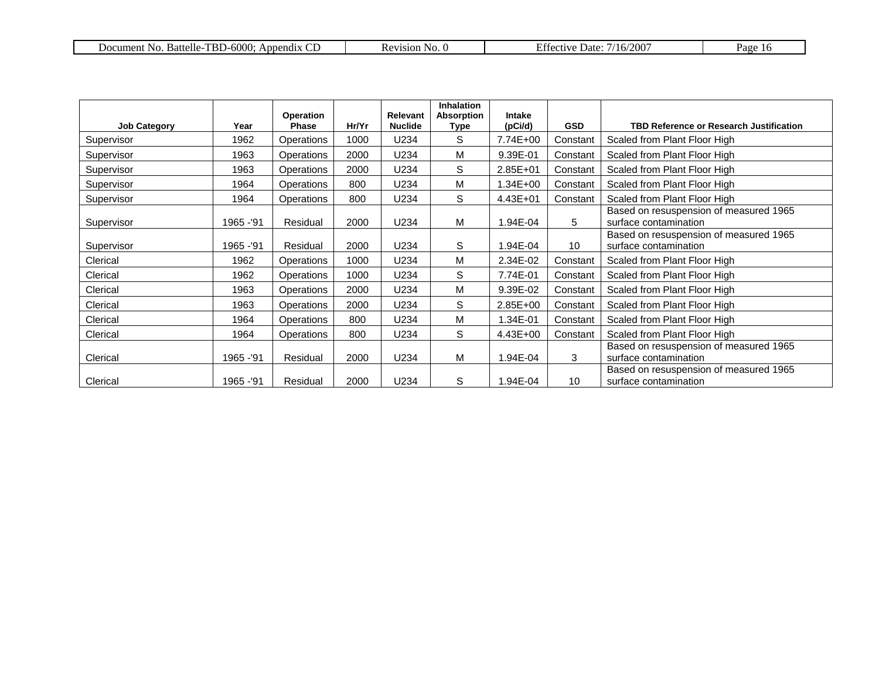| $TBD-6000:$<br>Battelle-<br>Document No.<br>Appendix | 4810N<br>No. G | 200 <sup>o</sup><br>16/<br>$\Delta$ ctiva<br>Date∙ | $v_{\text{age}}$ |
|------------------------------------------------------|----------------|----------------------------------------------------|------------------|
|------------------------------------------------------|----------------|----------------------------------------------------|------------------|

| <b>Job Category</b> | Year       | Operation<br>Phase | Hr/Yr | <b>Relevant</b><br><b>Nuclide</b> | <b>Inhalation</b><br>Absorption<br>Type | <b>Intake</b><br>(pCi/d) | <b>GSD</b> | <b>TBD Reference or Research Justification</b>                  |
|---------------------|------------|--------------------|-------|-----------------------------------|-----------------------------------------|--------------------------|------------|-----------------------------------------------------------------|
| Supervisor          | 1962       | Operations         | 1000  | U234                              | S                                       | 7.74E+00                 | Constant   | Scaled from Plant Floor High                                    |
| Supervisor          | 1963       | Operations         | 2000  | U234                              | M                                       | 9.39E-01                 | Constant   | Scaled from Plant Floor High                                    |
| Supervisor          | 1963       | Operations         | 2000  | U234                              | S                                       | $2.85E + 01$             | Constant   | Scaled from Plant Floor High                                    |
| Supervisor          | 1964       | Operations         | 800   | U234                              | M                                       | 1.34E+00                 | Constant   | Scaled from Plant Floor High                                    |
| Supervisor          | 1964       | <b>Operations</b>  | 800   | U234                              | S                                       | 4.43E+01                 | Constant   | Scaled from Plant Floor High                                    |
| Supervisor          | 1965 - '91 | Residual           | 2000  | U234                              | M                                       | 1.94E-04                 | 5          | Based on resuspension of measured 1965<br>surface contamination |
| Supervisor          | 1965 - '91 | Residual           | 2000  | U234                              | S                                       | 1.94E-04                 | 10         | Based on resuspension of measured 1965<br>surface contamination |
| Clerical            | 1962       | <b>Operations</b>  | 1000  | U234                              | M                                       | 2.34E-02                 | Constant   | Scaled from Plant Floor High                                    |
| Clerical            | 1962       | Operations         | 1000  | U234                              | S                                       | 7.74E-01                 | Constant   | Scaled from Plant Floor High                                    |
| Clerical            | 1963       | Operations         | 2000  | U234                              | M                                       | 9.39E-02                 | Constant   | Scaled from Plant Floor High                                    |
| Clerical            | 1963       | <b>Operations</b>  | 2000  | U234                              | S                                       | $2.85E + 00$             | Constant   | Scaled from Plant Floor High                                    |
| Clerical            | 1964       | Operations         | 800   | U234                              | M                                       | 1.34E-01                 | Constant   | Scaled from Plant Floor High                                    |
| Clerical            | 1964       | <b>Operations</b>  | 800   | U234                              | S                                       | 4.43E+00                 | Constant   | Scaled from Plant Floor High                                    |
| Clerical            | 1965 - '91 | Residual           | 2000  | U234                              | M                                       | 1.94E-04                 | 3          | Based on resuspension of measured 1965<br>surface contamination |
| Clerical            | 1965 - '91 | Residual           | 2000  | U234                              | S                                       | 1.94E-04                 | 10         | Based on resuspension of measured 1965<br>surface contamination |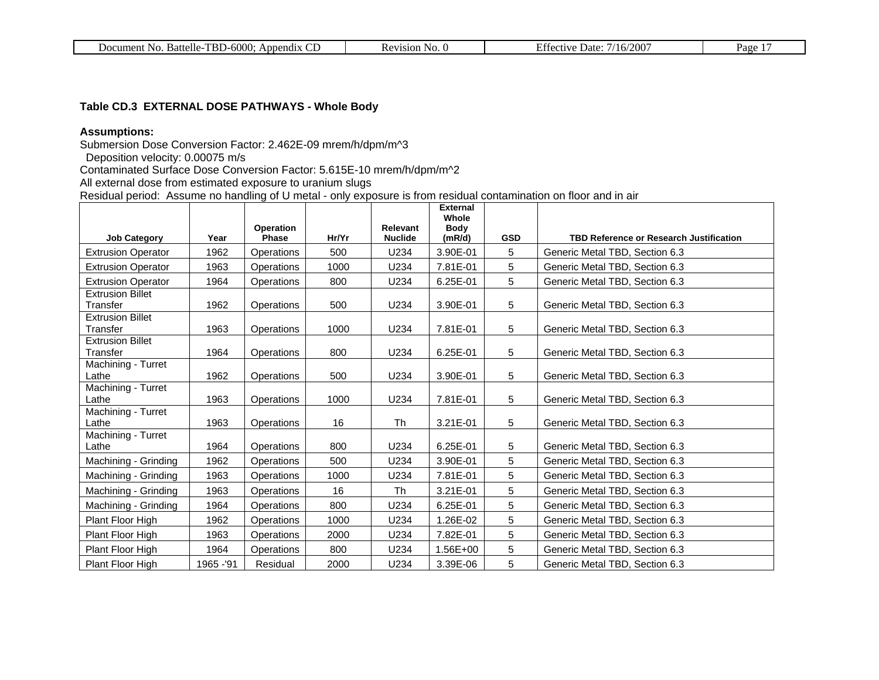| . Battelle-TBD-6000:<br>No.<br>Document I<br>Append <sub>1X</sub> | 71S1ON<br>N <sub>O</sub> | /200<br>/16/<br>. Jate<br>$\ldots$ rective $\ddot{\phantom{1}}$ | Page |
|-------------------------------------------------------------------|--------------------------|-----------------------------------------------------------------|------|
|-------------------------------------------------------------------|--------------------------|-----------------------------------------------------------------|------|

### **Table CD.3 EXTERNAL DOSE PATHWAYS - Whole Body**

### **Assumptions:**

Submersion Dose Conversion Factor: 2.462E-09 mrem/h/dpm/m^3

Deposition velocity: 0.00075 m/s

Contaminated Surface Dose Conversion Factor: 5.615E-10 mrem/h/dpm/m^2

All external dose from estimated exposure to uranium slugs

Residual period: Assume no handling of U metal - only exposure is from residual contamination on floor and in air

| <b>Job Category</b>                 | Year       | <b>Operation</b><br>Phase | Hr/Yr | Relevant<br><b>Nuclide</b> | <b>External</b><br>Whole<br><b>Body</b><br>(mR/d) | <b>GSD</b> | <b>TBD Reference or Research Justification</b> |
|-------------------------------------|------------|---------------------------|-------|----------------------------|---------------------------------------------------|------------|------------------------------------------------|
| <b>Extrusion Operator</b>           | 1962       | Operations                | 500   | U234                       | 3.90E-01                                          | 5          | Generic Metal TBD, Section 6.3                 |
| <b>Extrusion Operator</b>           | 1963       | <b>Operations</b>         | 1000  | U234                       | 7.81E-01                                          | 5          | Generic Metal TBD, Section 6.3                 |
| <b>Extrusion Operator</b>           | 1964       | Operations                | 800   | U234                       | 6.25E-01                                          | 5          | Generic Metal TBD, Section 6.3                 |
| <b>Extrusion Billet</b><br>Transfer | 1962       | Operations                | 500   | U234                       | 3.90E-01                                          | 5          | Generic Metal TBD, Section 6.3                 |
| <b>Extrusion Billet</b><br>Transfer | 1963       | <b>Operations</b>         | 1000  | U234                       | 7.81E-01                                          | 5          | Generic Metal TBD, Section 6.3                 |
| <b>Extrusion Billet</b><br>Transfer | 1964       | Operations                | 800   | U234                       | 6.25E-01                                          | 5          | Generic Metal TBD, Section 6.3                 |
| Machining - Turret<br>Lathe         | 1962       | Operations                | 500   | U234                       | 3.90E-01                                          | 5          | Generic Metal TBD, Section 6.3                 |
| Machining - Turret<br>Lathe         | 1963       | Operations                | 1000  | U234                       | 7.81E-01                                          | 5          | Generic Metal TBD, Section 6.3                 |
| Machining - Turret<br>Lathe         | 1963       | Operations                | 16    | <b>Th</b>                  | 3.21E-01                                          | 5          | Generic Metal TBD, Section 6.3                 |
| Machining - Turret<br>Lathe         | 1964       | Operations                | 800   | U234                       | 6.25E-01                                          | 5          | Generic Metal TBD, Section 6.3                 |
| Machining - Grinding                | 1962       | Operations                | 500   | U234                       | 3.90E-01                                          | 5          | Generic Metal TBD, Section 6.3                 |
| Machining - Grinding                | 1963       | Operations                | 1000  | U234                       | 7.81E-01                                          | 5          | Generic Metal TBD, Section 6.3                 |
| Machining - Grinding                | 1963       | Operations                | 16    | Th                         | 3.21E-01                                          | 5          | Generic Metal TBD, Section 6.3                 |
| Machining - Grinding                | 1964       | Operations                | 800   | U234                       | 6.25E-01                                          | 5          | Generic Metal TBD, Section 6.3                 |
| Plant Floor High                    | 1962       | Operations                | 1000  | U234                       | 1.26E-02                                          | 5          | Generic Metal TBD, Section 6.3                 |
| Plant Floor High                    | 1963       | Operations                | 2000  | U234                       | 7.82E-01                                          | 5          | Generic Metal TBD, Section 6.3                 |
| Plant Floor High                    | 1964       | Operations                | 800   | U234                       | 1.56E+00                                          | 5          | Generic Metal TBD, Section 6.3                 |
| <b>Plant Floor High</b>             | 1965 - '91 | Residual                  | 2000  | U234                       | 3.39E-06                                          | 5          | Generic Metal TBD, Section 6.3                 |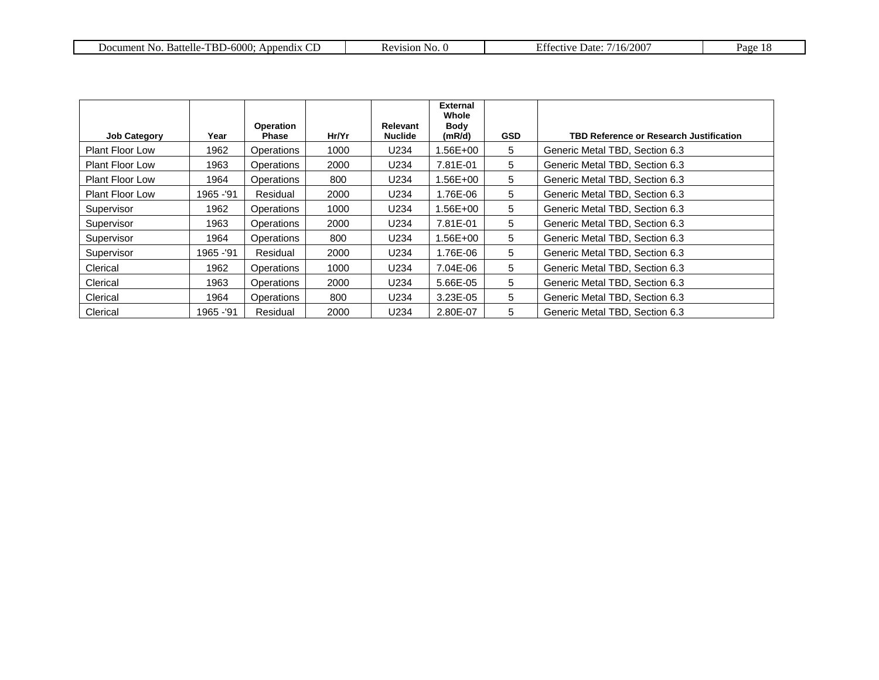| $\mathbf{\bar{r}}$<br>$\sim$<br>$-6000$<br>Battelle-<br>No.<br>App.<br>ıent<br>. Jocum<br>end <sub>1</sub> x<br>- 121. J | No | ″200<br>. Jate<br>$\overline{a}$<br>. | vage |
|--------------------------------------------------------------------------------------------------------------------------|----|---------------------------------------|------|
|--------------------------------------------------------------------------------------------------------------------------|----|---------------------------------------|------|

|                        |            | Operation         |       | <b>Relevant</b> | External<br>Whole<br>Body |            |                                                |
|------------------------|------------|-------------------|-------|-----------------|---------------------------|------------|------------------------------------------------|
| <b>Job Category</b>    | Year       | Phase             | Hr/Yr | Nuclide         | (mR/d)                    | <b>GSD</b> | <b>TBD Reference or Research Justification</b> |
| <b>Plant Floor Low</b> | 1962       | Operations        | 1000  | U234            | 1.56E+00                  | 5          | Generic Metal TBD, Section 6.3                 |
| <b>Plant Floor Low</b> | 1963       | <b>Operations</b> | 2000  | U234            | 7.81E-01                  | 5          | Generic Metal TBD, Section 6.3                 |
| <b>Plant Floor Low</b> | 1964       | Operations        | 800   | U234            | 1.56E+00                  | 5          | Generic Metal TBD, Section 6.3                 |
| <b>Plant Floor Low</b> | 1965 - '91 | Residual          | 2000  | U234            | 1.76E-06                  | 5          | Generic Metal TBD, Section 6.3                 |
| Supervisor             | 1962       | <b>Operations</b> | 1000  | U234            | 1.56E+00                  | 5          | Generic Metal TBD, Section 6.3                 |
| Supervisor             | 1963       | <b>Operations</b> | 2000  | U234            | 7.81E-01                  | 5          | Generic Metal TBD, Section 6.3                 |
| Supervisor             | 1964       | Operations        | 800   | U234            | 1.56E+00                  | 5          | Generic Metal TBD, Section 6.3                 |
| Supervisor             | 1965 - '91 | Residual          | 2000  | U234            | 1.76E-06                  | 5          | Generic Metal TBD, Section 6.3                 |
| Clerical               | 1962       | Operations        | 1000  | U234            | 7.04E-06                  | 5          | Generic Metal TBD, Section 6.3                 |
| Clerical               | 1963       | Operations        | 2000  | U234            | 5.66E-05                  | 5          | Generic Metal TBD, Section 6.3                 |
| Clerical               | 1964       | Operations        | 800   | U234            | $3.23E-05$                | 5          | Generic Metal TBD, Section 6.3                 |
| Clerical               | 1965 - '91 | Residual          | 2000  | U234            | 2.80E-07                  | 5          | Generic Metal TBD, Section 6.3                 |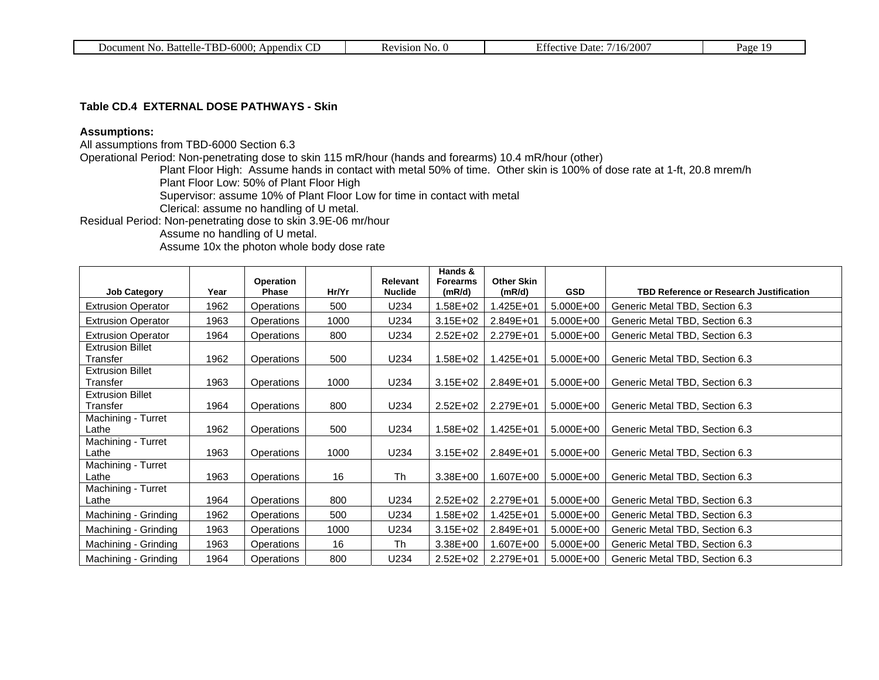#### **Table CD.4 EXTERNAL DOSE PATHWAYS - Skin**

### **Assumptions:**

All assumptions from TBD-6000 Section 6.3

Operational Period: Non-penetrating dose to skin 115 mR/hour (hands and forearms) 10.4 mR/hour (other)

Plant Floor High: Assume hands in contact with metal 50% of time. Other skin is 100% of dose rate at 1-ft, 20.8 mrem/h Plant Floor Low: 50% of Plant Floor High

Supervisor: assume 10% of Plant Floor Low for time in contact with metal

Clerical: assume no handling of U metal.

Residual Period: Non-penetrating dose to skin 3.9E-06 mr/hour

Assume no handling of U metal.

Assume 10x the photon whole body dose rate

| <b>Job Category</b>                 | Year | Operation<br><b>Phase</b> | Hr/Yr | <b>Relevant</b><br><b>Nuclide</b> | Hands &<br><b>Forearms</b><br>(mR/d) | <b>Other Skin</b><br>(mR/d) | <b>GSD</b> | <b>TBD Reference or Research Justification</b> |
|-------------------------------------|------|---------------------------|-------|-----------------------------------|--------------------------------------|-----------------------------|------------|------------------------------------------------|
| <b>Extrusion Operator</b>           | 1962 | Operations                | 500   | U234                              | 1.58E+02                             | 1.425E+01                   | 5.000E+00  | Generic Metal TBD, Section 6.3                 |
| <b>Extrusion Operator</b>           | 1963 | Operations                | 1000  | U234                              | $3.15E + 02$                         | 2.849E+01                   | 5.000E+00  | Generic Metal TBD, Section 6.3                 |
| <b>Extrusion Operator</b>           | 1964 | Operations                | 800   | U234                              | $2.52E + 02$                         | 2.279E+01                   | 5.000E+00  | Generic Metal TBD, Section 6.3                 |
| <b>Extrusion Billet</b><br>Transfer | 1962 | Operations                | 500   | U234                              | 1.58E+02                             | 1.425E+01                   | 5.000E+00  | Generic Metal TBD, Section 6.3                 |
| <b>Extrusion Billet</b><br>Transfer | 1963 | <b>Operations</b>         | 1000  | U234                              | $3.15E + 02$                         | 2.849E+01                   | 5.000E+00  | Generic Metal TBD, Section 6.3                 |
| <b>Extrusion Billet</b><br>Transfer | 1964 | Operations                | 800   | U234                              | $2.52E+02$                           | 2.279E+01                   | 5.000E+00  | Generic Metal TBD, Section 6.3                 |
| Machining - Turret<br>Lathe         | 1962 | Operations                | 500   | U234                              | 1.58E+02                             | 1.425E+01                   | 5.000E+00  | Generic Metal TBD, Section 6.3                 |
| Machining - Turret<br>Lathe         | 1963 | <b>Operations</b>         | 1000  | U234                              | $3.15E + 02$                         | 2.849E+01                   | 5.000E+00  | Generic Metal TBD, Section 6.3                 |
| Machining - Turret<br>Lathe         | 1963 | Operations                | 16    | <b>Th</b>                         | 3.38E+00                             | 1.607E+00                   | 5.000E+00  | Generic Metal TBD, Section 6.3                 |
| Machining - Turret<br>Lathe         | 1964 | Operations                | 800   | U234                              | $2.52E + 02$                         | 2.279E+01                   | 5.000E+00  | Generic Metal TBD, Section 6.3                 |
| Machining - Grinding                | 1962 | Operations                | 500   | U234                              | 1.58E+02                             | 1.425E+01                   | 5.000E+00  | Generic Metal TBD, Section 6.3                 |
| Machining - Grinding                | 1963 | Operations                | 1000  | U234                              | $3.15E + 02$                         | 2.849E+01                   | 5.000E+00  | Generic Metal TBD, Section 6.3                 |
| Machining - Grinding                | 1963 | Operations                | 16    | <b>Th</b>                         | 3.38E+00                             | 1.607E+00                   | 5.000E+00  | Generic Metal TBD, Section 6.3                 |
| Machining - Grinding                | 1964 | Operations                | 800   | U234                              | 2.52E+02                             | 2.279E+01                   | 5.000E+00  | Generic Metal TBD, Section 6.3                 |